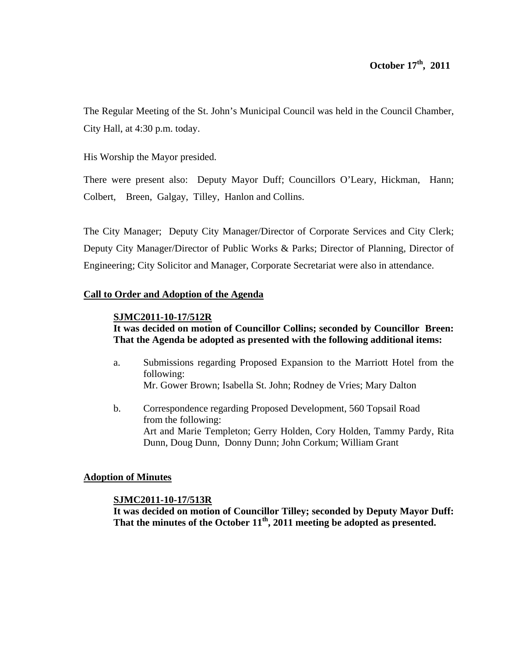The Regular Meeting of the St. John's Municipal Council was held in the Council Chamber, City Hall, at 4:30 p.m. today.

His Worship the Mayor presided.

There were present also: Deputy Mayor Duff; Councillors O'Leary, Hickman, Hann; Colbert, Breen, Galgay, Tilley, Hanlon and Collins.

The City Manager; Deputy City Manager/Director of Corporate Services and City Clerk; Deputy City Manager/Director of Public Works & Parks; Director of Planning, Director of Engineering; City Solicitor and Manager, Corporate Secretariat were also in attendance.

# **Call to Order and Adoption of the Agenda**

# **SJMC2011-10-17/512R**

# **It was decided on motion of Councillor Collins; seconded by Councillor Breen: That the Agenda be adopted as presented with the following additional items:**

- a. Submissions regarding Proposed Expansion to the Marriott Hotel from the following: Mr. Gower Brown; Isabella St. John; Rodney de Vries; Mary Dalton
- b. Correspondence regarding Proposed Development, 560 Topsail Road from the following: Art and Marie Templeton; Gerry Holden, Cory Holden, Tammy Pardy, Rita Dunn, Doug Dunn, Donny Dunn; John Corkum; William Grant

# **Adoption of Minutes**

# **SJMC2011-10-17/513R**

**It was decided on motion of Councillor Tilley; seconded by Deputy Mayor Duff:**  That the minutes of the October 11<sup>th</sup>, 2011 meeting be adopted as presented.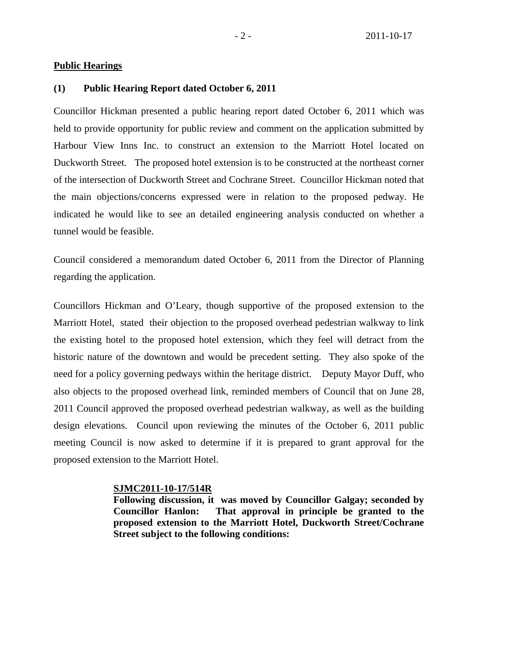# **Public Hearings**

# **(1) Public Hearing Report dated October 6, 2011**

Councillor Hickman presented a public hearing report dated October 6, 2011 which was held to provide opportunity for public review and comment on the application submitted by Harbour View Inns Inc. to construct an extension to the Marriott Hotel located on Duckworth Street. The proposed hotel extension is to be constructed at the northeast corner of the intersection of Duckworth Street and Cochrane Street. Councillor Hickman noted that the main objections/concerns expressed were in relation to the proposed pedway. He indicated he would like to see an detailed engineering analysis conducted on whether a tunnel would be feasible.

Council considered a memorandum dated October 6, 2011 from the Director of Planning regarding the application.

Councillors Hickman and O'Leary, though supportive of the proposed extension to the Marriott Hotel, stated their objection to the proposed overhead pedestrian walkway to link the existing hotel to the proposed hotel extension, which they feel will detract from the historic nature of the downtown and would be precedent setting. They also spoke of the need for a policy governing pedways within the heritage district. Deputy Mayor Duff, who also objects to the proposed overhead link, reminded members of Council that on June 28, 2011 Council approved the proposed overhead pedestrian walkway, as well as the building design elevations. Council upon reviewing the minutes of the October 6, 2011 public meeting Council is now asked to determine if it is prepared to grant approval for the proposed extension to the Marriott Hotel.

# **SJMC2011-10-17/514R**

**Following discussion, it was moved by Councillor Galgay; seconded by Councillor Hanlon: That approval in principle be granted to the proposed extension to the Marriott Hotel, Duckworth Street/Cochrane Street subject to the following conditions:**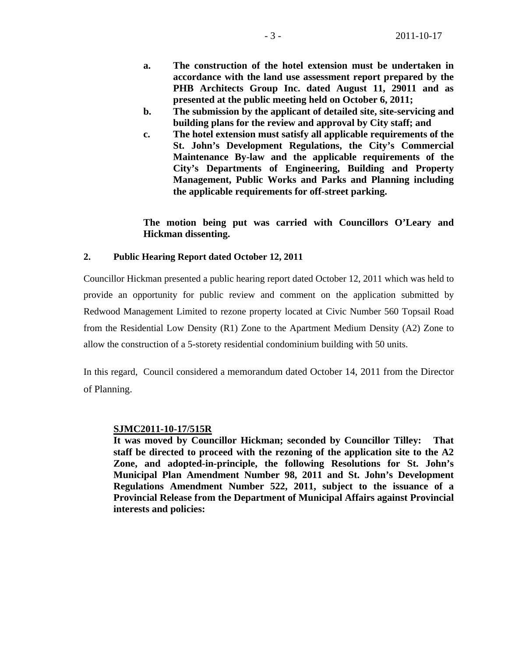- **a. The construction of the hotel extension must be undertaken in accordance with the land use assessment report prepared by the PHB Architects Group Inc. dated August 11, 29011 and as presented at the public meeting held on October 6, 2011;**
- **b. The submission by the applicant of detailed site, site-servicing and building plans for the review and approval by City staff; and**
- **c. The hotel extension must satisfy all applicable requirements of the St. John's Development Regulations, the City's Commercial Maintenance By-law and the applicable requirements of the City's Departments of Engineering, Building and Property Management, Public Works and Parks and Planning including the applicable requirements for off-street parking.**

# **The motion being put was carried with Councillors O'Leary and Hickman dissenting.**

# **2. Public Hearing Report dated October 12, 2011**

Councillor Hickman presented a public hearing report dated October 12, 2011 which was held to provide an opportunity for public review and comment on the application submitted by Redwood Management Limited to rezone property located at Civic Number 560 Topsail Road from the Residential Low Density (R1) Zone to the Apartment Medium Density (A2) Zone to allow the construction of a 5-storety residential condominium building with 50 units.

In this regard, Council considered a memorandum dated October 14, 2011 from the Director of Planning.

# **SJMC2011-10-17/515R**

**It was moved by Councillor Hickman; seconded by Councillor Tilley: That staff be directed to proceed with the rezoning of the application site to the A2 Zone, and adopted-in-principle, the following Resolutions for St. John's Municipal Plan Amendment Number 98, 2011 and St. John's Development Regulations Amendment Number 522, 2011, subject to the issuance of a Provincial Release from the Department of Municipal Affairs against Provincial interests and policies:**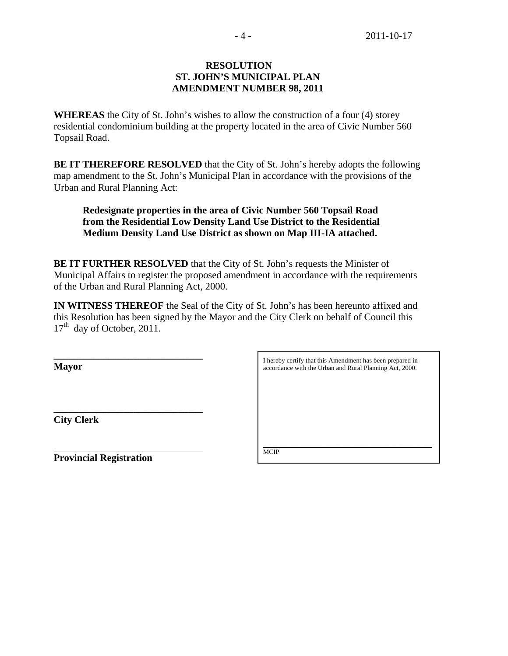# **RESOLUTION ST. JOHN'S MUNICIPAL PLAN AMENDMENT NUMBER 98, 2011**

**WHEREAS** the City of St. John's wishes to allow the construction of a four (4) storey residential condominium building at the property located in the area of Civic Number 560 Topsail Road.

**BE IT THEREFORE RESOLVED** that the City of St. John's hereby adopts the following map amendment to the St. John's Municipal Plan in accordance with the provisions of the Urban and Rural Planning Act:

# **Redesignate properties in the area of Civic Number 560 Topsail Road from the Residential Low Density Land Use District to the Residential Medium Density Land Use District as shown on Map III-IA attached.**

**BE IT FURTHER RESOLVED** that the City of St. John's requests the Minister of Municipal Affairs to register the proposed amendment in accordance with the requirements of the Urban and Rural Planning Act, 2000.

**IN WITNESS THEREOF** the Seal of the City of St. John's has been hereunto affixed and this Resolution has been signed by the Mayor and the City Clerk on behalf of Council this  $17<sup>th</sup>$  day of October, 2011.

**Mayor** 

**City Clerk**

 $\overline{a}$ 

**Provincial Registration** 

**\_\_\_\_\_\_\_\_\_\_\_\_\_\_\_\_\_\_\_\_\_\_\_\_\_\_\_\_\_\_** 

**\_\_\_\_\_\_\_\_\_\_\_\_\_\_\_\_\_\_\_\_\_\_\_\_\_\_\_\_\_\_** 

I hereby certify that this Amendment has been prepared in accordance with the Urban and Rural Planning Act, 2000.

\_\_\_\_\_\_\_\_\_\_\_\_\_\_\_\_\_\_\_\_\_\_\_\_\_\_\_\_\_\_\_\_\_\_\_\_\_\_\_\_\_\_\_\_\_\_\_\_\_\_\_ **MCIP**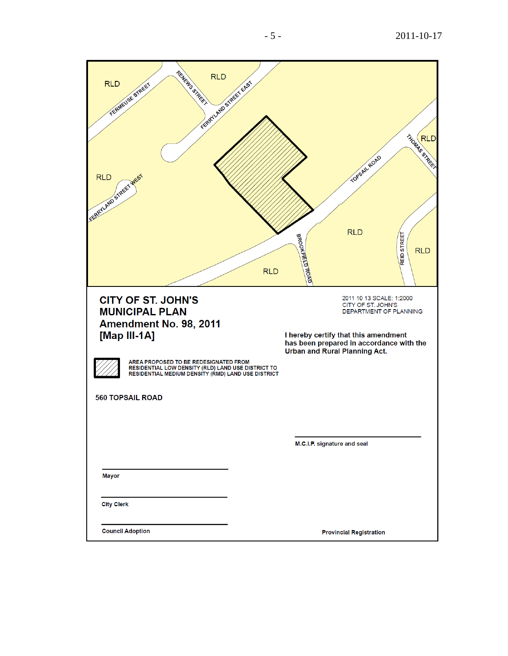| RENEWS STREET<br><b>RLD</b><br><b>RLD</b><br>FERENLARD STREET EAST<br>FERMILLISE STREET<br><b>RLD</b><br>SERATAND STREET                                                                                                                                                                     | THOMAS STREET<br>TOPSAIL ROAD<br><b>RLD</b><br><b>STREET</b><br>BROOKFIELD ROAD<br><b>RLD</b><br>REID:<br><b>RLD</b>                                                                                                                |
|----------------------------------------------------------------------------------------------------------------------------------------------------------------------------------------------------------------------------------------------------------------------------------------------|-------------------------------------------------------------------------------------------------------------------------------------------------------------------------------------------------------------------------------------|
| <b>CITY OF ST. JOHN'S</b><br><b>MUNICIPAL PLAN</b><br>Amendment No. 98, 2011<br>[Map III-1A]<br>AREA PROPOSED TO BE REDESIGNATED FROM<br>RESIDENTIAL LOW DENSITY (RLD) LAND USE DISTRICT TO<br>RESIDENTIAL MEDIUM DENSITY (RMD) LAND USE DISTRICT<br><b>560 TOPSAIL ROAD</b><br><b>Mayor</b> | 2011 10 13 SCALE: 1:2000<br>CITY OF ST. JOHN'S<br>DEPARTMENT OF PLANNING<br>I hereby certify that this amendment<br>has been prepared in accordance with the<br><b>Urban and Rural Planning Act.</b><br>M.C.I.P. signature and seal |
| <b>City Clerk</b>                                                                                                                                                                                                                                                                            |                                                                                                                                                                                                                                     |
| <b>Council Adoption</b>                                                                                                                                                                                                                                                                      | <b>Provincial Registration</b>                                                                                                                                                                                                      |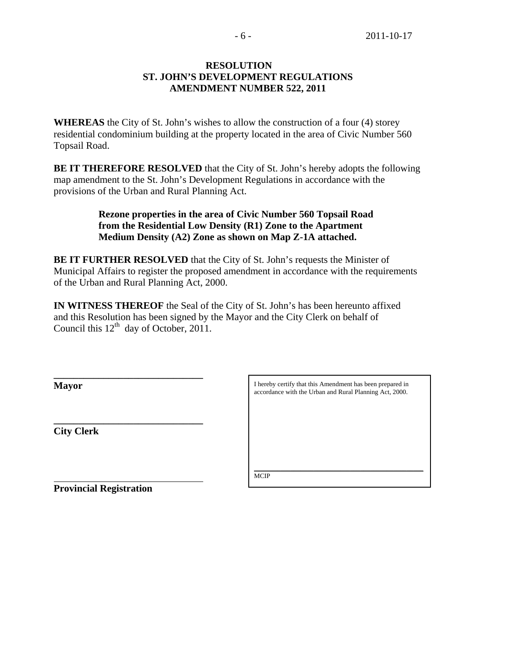# **RESOLUTION ST. JOHN'S DEVELOPMENT REGULATIONS AMENDMENT NUMBER 522, 2011**

**WHEREAS** the City of St. John's wishes to allow the construction of a four (4) storey residential condominium building at the property located in the area of Civic Number 560 Topsail Road.

**BE IT THEREFORE RESOLVED** that the City of St. John's hereby adopts the following map amendment to the St. John's Development Regulations in accordance with the provisions of the Urban and Rural Planning Act.

# **Rezone properties in the area of Civic Number 560 Topsail Road from the Residential Low Density (R1) Zone to the Apartment Medium Density (A2) Zone as shown on Map Z-1A attached.**

**BE IT FURTHER RESOLVED** that the City of St. John's requests the Minister of Municipal Affairs to register the proposed amendment in accordance with the requirements of the Urban and Rural Planning Act, 2000.

**IN WITNESS THEREOF** the Seal of the City of St. John's has been hereunto affixed and this Resolution has been signed by the Mayor and the City Clerk on behalf of Council this  $12<sup>th</sup>$  day of October, 2011.

**Mayor** 

**City Clerk**

I hereby certify that this Amendment has been prepared in accordance with the Urban and Rural Planning Act, 2000.

 $\overline{a}$ 

\_\_\_\_\_\_\_\_\_\_\_\_\_\_\_\_\_\_\_\_\_\_\_\_\_\_\_\_\_\_\_\_\_\_\_\_\_\_\_\_\_\_\_\_\_\_\_\_\_\_\_ **MCIP** 

**Provincial Registration** 

**\_\_\_\_\_\_\_\_\_\_\_\_\_\_\_\_\_\_\_\_\_\_\_\_\_\_\_\_\_\_** 

**\_\_\_\_\_\_\_\_\_\_\_\_\_\_\_\_\_\_\_\_\_\_\_\_\_\_\_\_\_\_**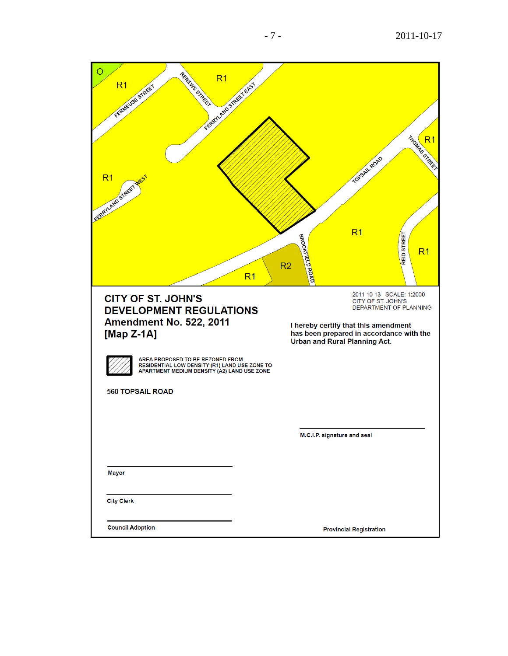| O<br>RENTING STREET<br>R <sub>1</sub><br>FERRELL MOSTREE EAST<br>FERNIEUSE STREET<br>R <sub>1</sub><br>SERRYLAND STREET<br>R <sub>1</sub>                                                                                                                                     | THOMAS STREET<br>TOPSAIL ROAD<br>R <sub>1</sub><br><b>STREET</b><br>BROOKFIELD ROAD<br>R <sub>1</sub><br>REID<br>R <sub>2</sub>                                                                      |
|-------------------------------------------------------------------------------------------------------------------------------------------------------------------------------------------------------------------------------------------------------------------------------|------------------------------------------------------------------------------------------------------------------------------------------------------------------------------------------------------|
| <b>CITY OF ST. JOHN'S</b><br><b>DEVELOPMENT REGULATIONS</b><br><b>Amendment No. 522, 2011</b><br>[Map $Z-1A$ ]<br>AREA PROPOSED TO BE REZONED FROM<br>RESIDENTIAL LOW DENSITY (R1) LAND USE ZONE TO<br>APARTMENT MEDIUM DENSITY (A2) LAND USE ZONE<br><b>560 TOPSAIL ROAD</b> | 2011 10 13 SCALE: 1:2000<br>CITY OF ST. JOHN'S<br>DEPARTMENT OF PLANNING<br>I hereby certify that this amendment<br>has been prepared in accordance with the<br><b>Urban and Rural Planning Act.</b> |
| <b>Mayor</b>                                                                                                                                                                                                                                                                  | M.C.I.P. signature and seal                                                                                                                                                                          |
| <b>City Clerk</b><br><b>Council Adoption</b>                                                                                                                                                                                                                                  | <b>Provincial Registration</b>                                                                                                                                                                       |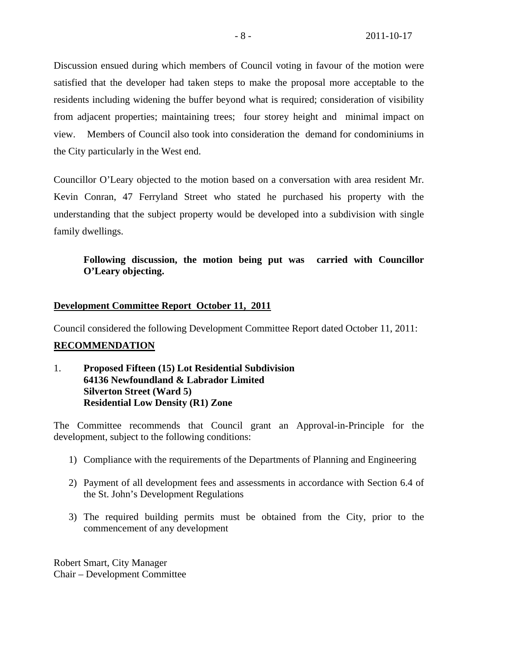Discussion ensued during which members of Council voting in favour of the motion were satisfied that the developer had taken steps to make the proposal more acceptable to the residents including widening the buffer beyond what is required; consideration of visibility from adjacent properties; maintaining trees; four storey height and minimal impact on view. Members of Council also took into consideration the demand for condominiums in the City particularly in the West end.

Councillor O'Leary objected to the motion based on a conversation with area resident Mr. Kevin Conran, 47 Ferryland Street who stated he purchased his property with the understanding that the subject property would be developed into a subdivision with single family dwellings.

# **Following discussion, the motion being put was carried with Councillor O'Leary objecting.**

# **Development Committee Report October 11, 2011**

Council considered the following Development Committee Report dated October 11, 2011:

# **RECOMMENDATION**

1. **Proposed Fifteen (15) Lot Residential Subdivision 64136 Newfoundland & Labrador Limited Silverton Street (Ward 5) Residential Low Density (R1) Zone** 

The Committee recommends that Council grant an Approval-in-Principle for the development, subject to the following conditions:

- 1) Compliance with the requirements of the Departments of Planning and Engineering
- 2) Payment of all development fees and assessments in accordance with Section 6.4 of the St. John's Development Regulations
- 3) The required building permits must be obtained from the City, prior to the commencement of any development

Robert Smart, City Manager Chair – Development Committee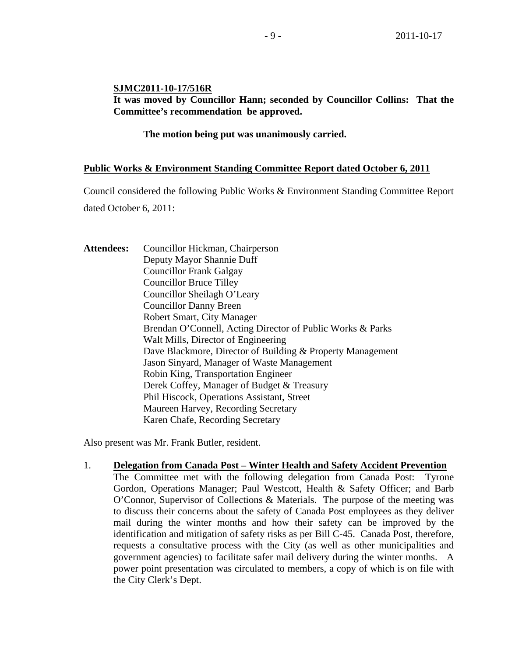# **SJMC2011-10-17/516R**

**It was moved by Councillor Hann; seconded by Councillor Collins: That the Committee's recommendation be approved.** 

# **The motion being put was unanimously carried.**

# **Public Works & Environment Standing Committee Report dated October 6, 2011**

Council considered the following Public Works & Environment Standing Committee Report

dated October 6, 2011:

**Attendees:** Councillor Hickman, Chairperson Deputy Mayor Shannie Duff Councillor Frank Galgay Councillor Bruce Tilley Councillor Sheilagh O'Leary Councillor Danny Breen Robert Smart, City Manager Brendan O'Connell, Acting Director of Public Works & Parks Walt Mills, Director of Engineering Dave Blackmore, Director of Building & Property Management Jason Sinyard, Manager of Waste Management Robin King, Transportation Engineer Derek Coffey, Manager of Budget & Treasury Phil Hiscock, Operations Assistant, Street Maureen Harvey, Recording Secretary Karen Chafe, Recording Secretary

Also present was Mr. Frank Butler, resident.

1. **Delegation from Canada Post – Winter Health and Safety Accident Prevention** The Committee met with the following delegation from Canada Post: Tyrone Gordon, Operations Manager; Paul Westcott, Health & Safety Officer; and Barb O'Connor, Supervisor of Collections & Materials. The purpose of the meeting was to discuss their concerns about the safety of Canada Post employees as they deliver mail during the winter months and how their safety can be improved by the identification and mitigation of safety risks as per Bill C-45. Canada Post, therefore, requests a consultative process with the City (as well as other municipalities and government agencies) to facilitate safer mail delivery during the winter months. A power point presentation was circulated to members, a copy of which is on file with the City Clerk's Dept.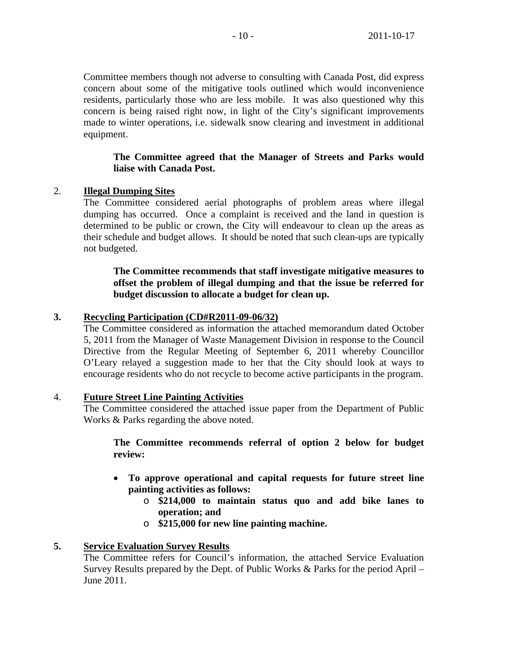Committee members though not adverse to consulting with Canada Post, did express concern about some of the mitigative tools outlined which would inconvenience residents, particularly those who are less mobile. It was also questioned why this concern is being raised right now, in light of the City's significant improvements made to winter operations, i.e. sidewalk snow clearing and investment in additional equipment.

# **The Committee agreed that the Manager of Streets and Parks would liaise with Canada Post.**

# 2. **Illegal Dumping Sites**

The Committee considered aerial photographs of problem areas where illegal dumping has occurred. Once a complaint is received and the land in question is determined to be public or crown, the City will endeavour to clean up the areas as their schedule and budget allows. It should be noted that such clean-ups are typically not budgeted.

# **The Committee recommends that staff investigate mitigative measures to offset the problem of illegal dumping and that the issue be referred for budget discussion to allocate a budget for clean up.**

# **3. Recycling Participation (CD#R2011-09-06/32)**

The Committee considered as information the attached memorandum dated October 5, 2011 from the Manager of Waste Management Division in response to the Council Directive from the Regular Meeting of September 6, 2011 whereby Councillor O'Leary relayed a suggestion made to her that the City should look at ways to encourage residents who do not recycle to become active participants in the program.

# 4. **Future Street Line Painting Activities**

The Committee considered the attached issue paper from the Department of Public Works & Parks regarding the above noted.

**The Committee recommends referral of option 2 below for budget review:** 

- **To approve operational and capital requests for future street line painting activities as follows:** 
	- o **\$214,000 to maintain status quo and add bike lanes to operation; and**
	- o **\$215,000 for new line painting machine.**

# **5. Service Evaluation Survey Results**

The Committee refers for Council's information, the attached Service Evaluation Survey Results prepared by the Dept. of Public Works & Parks for the period April – June 2011.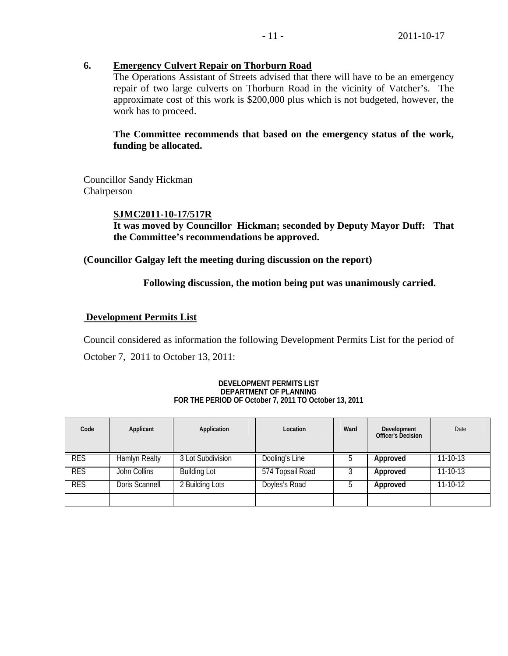# **6. Emergency Culvert Repair on Thorburn Road**

The Operations Assistant of Streets advised that there will have to be an emergency repair of two large culverts on Thorburn Road in the vicinity of Vatcher's. The approximate cost of this work is \$200,000 plus which is not budgeted, however, the work has to proceed.

# **The Committee recommends that based on the emergency status of the work, funding be allocated.**

Councillor Sandy Hickman Chairperson

# **SJMC2011-10-17/517R**

**It was moved by Councillor Hickman; seconded by Deputy Mayor Duff: That the Committee's recommendations be approved.** 

**(Councillor Galgay left the meeting during discussion on the report)** 

# **Following discussion, the motion being put was unanimously carried.**

# **Development Permits List**

Council considered as information the following Development Permits List for the period of October 7, 2011 to October 13, 2011:

# **Officer's Decision**

## **DEVELOPMENT PERMITS LIST DEPARTMENT OF PLANNING FOR THE PERIOD OF October 7, 2011 TO October 13, 2011**

| Code       | Applicant            | Application         | Location         | Ward | Development<br>Officer's Decision | Date     |
|------------|----------------------|---------------------|------------------|------|-----------------------------------|----------|
| <b>RES</b> | <b>Hamlyn Realty</b> | 3 Lot Subdivision   | Dooling's Line   |      | Approved                          | 11-10-13 |
| <b>RES</b> | John Collins         | <b>Building Lot</b> | 574 Topsail Road |      | Approved                          | 11-10-13 |
| <b>RES</b> | Doris Scannell       | 2 Building Lots     | Doyles's Road    |      | Approved                          | 11-10-12 |
|            |                      |                     |                  |      |                                   |          |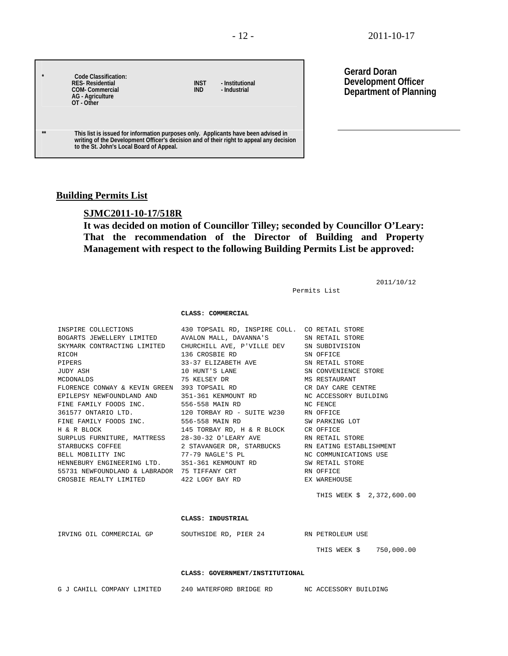| $\star$  | Code Classification:<br><b>RES-Residential</b><br><b>COM-Commercial</b><br><b>AG</b> - Agriculture<br>OT - Other                                                                                                          | <b>INST</b><br><b>IND</b> | - Institutional<br>- Industrial |
|----------|---------------------------------------------------------------------------------------------------------------------------------------------------------------------------------------------------------------------------|---------------------------|---------------------------------|
| $\pm\pm$ | This list is issued for information purposes only. Applicants have been advised in<br>writing of the Development Officer's decision and of their right to appeal any decision<br>to the St. John's Local Board of Appeal. |                           |                                 |

**Gerard Doran Development Officer Department of Planning**

2011/10/12

# **Building Permits List**

# **SJMC2011-10-17/518R**

**It was decided on motion of Councillor Tilley; seconded by Councillor O'Leary: That the recommendation of the Director of Building and Property Management with respect to the following Building Permits List be approved:** 

Permits List

### **CLASS: COMMERCIAL**

| INSPIRE COLLECTIONS 430 TOPSAIL RD, INSPIRE COLL. CO RETAIL STORE<br>BOGARTS JEWELLERY LIMITED AVALON MALL, DAVANNA'S SN RETAIL STORE<br>SKYMARK CONTRACTING LIMITED CHURCHILL AVE, P'VILLE DEV SN SUBDIVISION<br>RICOH<br>RICOH<br>PIPERS 33-37 ELIZABETH AVE SN RETAIL STORE<br>JUDY ASH 10 HUNT'S LANE SN RETAIL STORE<br>MCDONALDS 75 KELSEY DR MS RESTAURANT<br>FLORENCE CONWAY & KEVIN GREEN 393 TOPSAIL RD CR DAY CARE CENTRE<br>EPILEPSY NEWFOUNDLAND AND 351-361 KENMOUNT RD NC ACCESSORY BUILDING<br>FINE FAMILY FOODS INC. 556-558 MAIN RD NO FENCE<br>361577 ONTARIO LTD. 120 TORBAY RD - SUITE W230 RN OFFICE<br>SURPLUS FURNITURE, MATTRESS 28-30-32 O'LEARY AVE RN RETAIL STORE<br>STARBUCKS COFFEE 2 STAVANGER DR, STARBUCKS RN EATING ESTABLISHMENT<br>BELL MOBILITY INC 77-79 NAGLE'S PL NC COMMUNICATIONS USE<br>HENNEBURY ENGINEERING LTD. 351-361 KENMOUNT RD SW RETAIL STORE |                           |
|----------------------------------------------------------------------------------------------------------------------------------------------------------------------------------------------------------------------------------------------------------------------------------------------------------------------------------------------------------------------------------------------------------------------------------------------------------------------------------------------------------------------------------------------------------------------------------------------------------------------------------------------------------------------------------------------------------------------------------------------------------------------------------------------------------------------------------------------------------------------------------------------------|---------------------------|
| 55731 NEWFOUNDLAND & LABRADOR 75 TIFFANY CRT NAMEL RN OFFICE                                                                                                                                                                                                                                                                                                                                                                                                                                                                                                                                                                                                                                                                                                                                                                                                                                       |                           |
| CROSBIE REALTY LIMITED $422$ LOGY BAY RD BAY EX WAREHOUSE                                                                                                                                                                                                                                                                                                                                                                                                                                                                                                                                                                                                                                                                                                                                                                                                                                          |                           |
|                                                                                                                                                                                                                                                                                                                                                                                                                                                                                                                                                                                                                                                                                                                                                                                                                                                                                                    | THIS WEEK \$ 2,372,600.00 |
| CLASS: INDUSTRIAL                                                                                                                                                                                                                                                                                                                                                                                                                                                                                                                                                                                                                                                                                                                                                                                                                                                                                  |                           |
| IRVING OIL COMMERCIAL GP SOUTHSIDE RD, PIER 24 RN PETROLEUM USE                                                                                                                                                                                                                                                                                                                                                                                                                                                                                                                                                                                                                                                                                                                                                                                                                                    |                           |
|                                                                                                                                                                                                                                                                                                                                                                                                                                                                                                                                                                                                                                                                                                                                                                                                                                                                                                    | THIS WEEK \$ 750,000.00   |
| CLASS: GOVERNMENT/INSTITUTIONAL                                                                                                                                                                                                                                                                                                                                                                                                                                                                                                                                                                                                                                                                                                                                                                                                                                                                    |                           |
| G J CAHILL COMPANY LIMITED 240 WATERFORD BRIDGE RD NC ACCESSORY BUILDING                                                                                                                                                                                                                                                                                                                                                                                                                                                                                                                                                                                                                                                                                                                                                                                                                           |                           |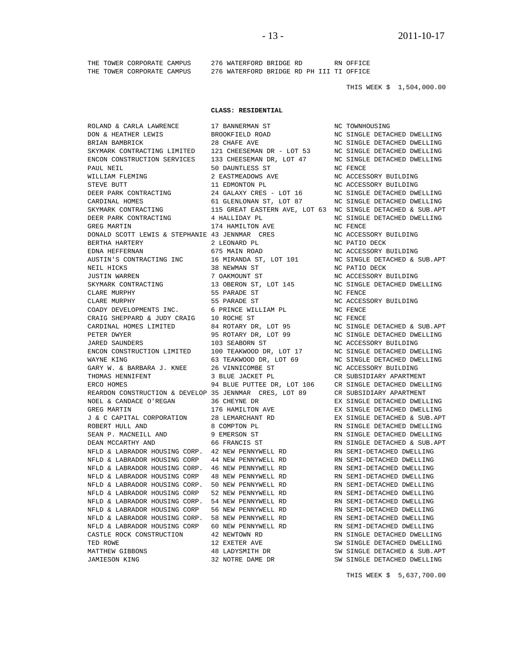THE TOWER CORPORATE CAMPUS 276 WATERFORD BRIDGE RD RN OFFICE THE TOWER CORPORATE CAMPUS 276 WATERFORD BRIDGE RD PH III TI OFFICE

THIS WEEK \$ 1,504,000.00

### **CLASS: RESIDENTIAL**

 DON & HEATHER LEWIS BROOKFIELD ROAD NC SINGLE DETACHED DWELLING BRIAN BAMBRICK 28 CHAFE AVE NC SINGLE DETACHED DWELLING SKYMARK CONTRACTING LIMITED 121 CHEESEMAN DR - LOT 53 NC SINGLE DETACHED DWELLING ENCON CONSTRUCTION SERVICES 133 CHEESEMAN DR, LOT 47 NC SINGLE DETACHED DWELLING PAUL NEIL 50 DAUNTLESS ST NC FENCE WILLIAM FLEMING 2 EASTMEADOWS AVE NO ACCESSORY BUILDING STEVE BUTT 11 EDMONTON PL NC ACCESSORY BUILDING DEER PARK CONTRACTING 24 GALAXY CRES - LOT 16 NO SINGLE DETACHED DWELLING CARDINAL HOMES 61 GLENLONAN ST, LOT 87 NC SINGLE DETACHED DWELLING SKYMARK CONTRACTING 115 GREAT EASTERN AVE, LOT 63 NC SINGLE DETACHED & SUB.APT DEER PARK CONTRACTING  $\begin{array}{ccc} 4 & \text{HALLIDAY PL} \end{array}$  NC SINGLE DETACHED DWELLING GREG MARTIN 174 HAMILTON AVE NO FENCE DONALD SCOTT LEWIS & STEPHANIE 43 JENNMAR CRES NC ACCESSORY BUILDING BERTHA HARTERY 2 LEONARD PL NC PATIO DECK EDNA HEFFERNAN 675 MAIN ROAD NC ACCESSORY BUILDING AUSTIN'S CONTRACTING INC 16 MIRANDA ST, LOT 101 NC SINGLE DETACHED & SUB.APT NEIL HICKS 38 NEWMAN ST NC PATIO DECK JUSTIN WARREN 7 OAKMOUNT ST NC ACCESSORY BUILDING 13 OBERON ST, LOT 145 NC SINGLE DETACHED DWI CLARE MURPHY 55 PARADE ST NC FENCE CLARE MURPHY 55 PARADE ST NC ACCESSORY BUILDING COADY DEVELOPMENTS INC. 6 PRINCE WILLIAM PL NC FENCE CRAIG SHEPPARD & JUDY CRAIG 10 ROCHE ST NO FENCE CARDINAL HOMES LIMITED 84 ROTARY DR, LOT 95 NC SINGLE DETACHED & SUB.APT PETER DWYER 95 ROTARY DR, LOT 99 NC SINGLE DETACHED DWELLING JARED SAUNDERS 103 SEABORN ST NC ACCESSORY BUILDING ENCON CONSTRUCTION LIMITED 100 TEAKWOOD DR, LOT 17 NC SINGLE DETACHED DWELLING WAYNE KING 63 TEAKWOOD DR, LOT 69 NC SINGLE DETACHED DWELLING GARY W. & BARBARA J. KNEE 26 VINNICOMBE ST NC ACCESSORY BUILDING THOMAS HENNIFENT 3 BLUE JACKET PL CR SUBSIDIARY APARTMENT ERCO HOMES<br>ERCO HOMES 94 BLUE PUTTEE DR, LOT 106 CR SINGLE DETACHED DWELLING REARDON CONSTRUCTION & DEVELOP 35 JENNMAR CRES, LOT 89 CR SUBSIDIARY APARTMENT NOEL & CANDACE O'REGAN 36 CHEYNE DR EX SINGLE DETACHED DWELLING GREG MARTIN 6 176 HAMILTON AVE EX SINGLE DETACHED DWELLING J & C CAPITAL CORPORATION 28 LEMARCHANT RD EX SINGLE DETACHED & SUB.APT ROBERT HULL AND 8 COMPTON PL RN SINGLE DETACHED DWELLING SEAN P. MACNEILL AND 9 EMERSON ST RN SINGLE DETACHED DWELLING DEAN MCCARTHY AND 66 FRANCIS ST RN SINGLE DETACHED & SUB.APT NFLD & LABRADOR HOUSING CORP. 42 NEW PENNYWELL RD RN SEMI-DETACHED DWELLING  $\,$  LABRADOR HOUSING CORP  $\,$  44 NEW PENNYWELL RD NFLD & LABRADOR HOUSING CORP. 46 NEW PENNYWELL RD RN SEMI-DETACHED DWELLING NFLD & LABRADOR HOUSING CORP 48 NEW PENNYWELL RD RN SEMI-DETACHED DWELLING NFLD & LABRADOR HOUSING CORP. 50 NEW PENNYWELL RD RN SEMI-DETACHED DWELLING NFLD & LABRADOR HOUSING CORP 52 NEW PENNYWELL RD RN SEMI-DETACHED DWELLING NFLD & LABRADOR HOUSING CORP. 54 NEW PENNYWELL RD RN SEMI-DETACHED DWELLING NFLD & LABRADOR HOUSING CORP 56 NEW PENNYWELL RD RN SEMI-DETACHED DWELLING NFLD & LABRADOR HOUSING CORP. 58 NEW PENNYWELL RD RN SEMI-DETACHED DWELLING NFLD & LABRADOR HOUSING CORP 60 NEW PENNYWELL RD RN SEMI-DETACHED DWELLING CASTLE ROCK CONSTRUCTION 42 NEWTOWN RD RN SINGLE DETACHED DWELLING TED ROWE 12 EXETER AVE SW SINGLE DETACHED DWELLING JAMIESON KING 32 NOTRE DAME DR SW SINGLE DETACHED DWELLING

ROLAND & CARLA LAWRENCE 17 BANNERMAN ST NC TOWNHOUSING 48 LADYSMITH DR SW SINGLE DETACHED & SUB.APT

NC SINGLE DETACHED DWELLING

THIS WEEK \$ 5,637,700.00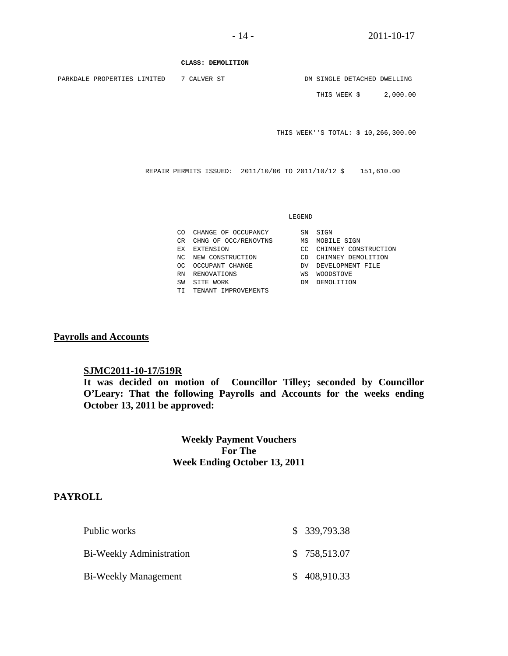**CLASS: DEMOLITION** 

PARKDALE PROPERTIES LIMITED 7 CALVER ST  $\hfill$  DM SINGLE DETACHED DWELLING

THIS WEEK \$ 2,000.00

THIS WEEK''S TOTAL: \$ 10,266,300.00

REPAIR PERMITS ISSUED: 2011/10/06 TO 2011/10/12 \$ 151,610.00

### LEGEND

|     | CO CHANGE OF OCCUPANCY | SN  | SIGN                 |
|-----|------------------------|-----|----------------------|
| CR. | CHNG OF OCC/RENOVTNS   | ΜS  | MOBILE SIGN          |
|     | EX EXTENSION           | CC. | CHIMNEY CONSTRUCTION |
|     | NC NEW CONSTRUCTION    | CD  | CHIMNEY DEMOLITION   |
| OC. | OCCUPANT CHANGE        | DV. | DEVELOPMENT FILE     |
| RN  | RENOVATIONS            | WS  | <b>WOODSTOVE</b>     |
| SW  | SITE WORK              | DМ  | DEMOLITION           |
|     | TI TENANT IMPROVEMENTS |     |                      |
|     |                        |     |                      |

# **Payrolls and Accounts**

# **SJMC2011-10-17/519R**

**It was decided on motion of Councillor Tilley; seconded by Councillor O'Leary: That the following Payrolls and Accounts for the weeks ending October 13, 2011 be approved:** 

> **Weekly Payment Vouchers For The Week Ending October 13, 2011**

# **PAYROLL**

| Public works             | \$339,793.38 |
|--------------------------|--------------|
| Bi-Weekly Administration | \$758,513.07 |
| Bi-Weekly Management     | \$408,910.33 |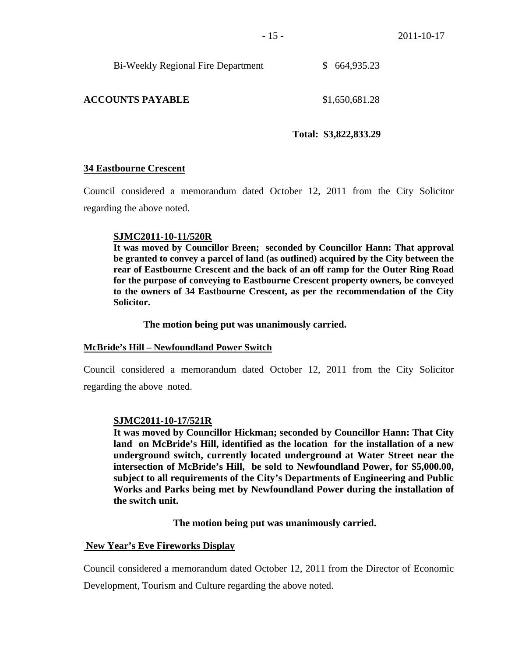| <b>Bi-Weekly Regional Fire Department</b> |  | \$664,935.23 |
|-------------------------------------------|--|--------------|
|-------------------------------------------|--|--------------|

# **ACCOUNTS PAYABLE** \$1,650,681.28

# **Total: \$3,822,833.29**

# **34 Eastbourne Crescent**

Council considered a memorandum dated October 12, 2011 from the City Solicitor regarding the above noted.

# **SJMC2011-10-11/520R**

**It was moved by Councillor Breen; seconded by Councillor Hann: That approval be granted to convey a parcel of land (as outlined) acquired by the City between the rear of Eastbourne Crescent and the back of an off ramp for the Outer Ring Road for the purpose of conveying to Eastbourne Crescent property owners, be conveyed to the owners of 34 Eastbourne Crescent, as per the recommendation of the City Solicitor.** 

# **The motion being put was unanimously carried.**

# **McBride's Hill – Newfoundland Power Switch**

Council considered a memorandum dated October 12, 2011 from the City Solicitor regarding the above noted.

# **SJMC2011-10-17/521R**

**It was moved by Councillor Hickman; seconded by Councillor Hann: That City land on McBride's Hill, identified as the location for the installation of a new underground switch, currently located underground at Water Street near the intersection of McBride's Hill, be sold to Newfoundland Power, for \$5,000.00, subject to all requirements of the City's Departments of Engineering and Public Works and Parks being met by Newfoundland Power during the installation of the switch unit.** 

# **The motion being put was unanimously carried.**

# **New Year's Eve Fireworks Display**

Council considered a memorandum dated October 12, 2011 from the Director of Economic

Development, Tourism and Culture regarding the above noted.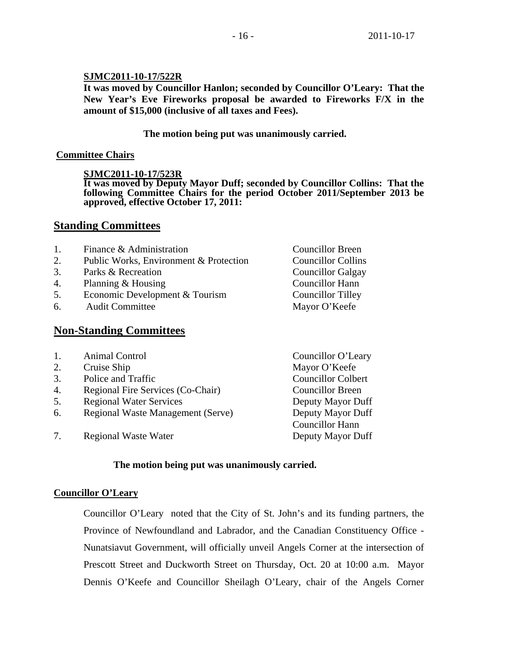# **SJMC2011-10-17/522R**

**It was moved by Councillor Hanlon; seconded by Councillor O'Leary: That the New Year's Eve Fireworks proposal be awarded to Fireworks F/X in the amount of \$15,000 (inclusive of all taxes and Fees).** 

# **The motion being put was unanimously carried.**

# **Committee Chairs**

# **SJMC2011-10-17/523R**

**It was moved by Deputy Mayor Duff; seconded by Councillor Collins: That the following Committee Chairs for the period October 2011/September 2013 be approved, effective October 17, 2011:** 

# **Standing Committees**

| Finance & Administration               | <b>Councillor Breen</b>   |
|----------------------------------------|---------------------------|
| Public Works, Environment & Protection | <b>Councillor Collins</b> |
| Parks & Recreation                     | <b>Councillor Galgay</b>  |
| Planning & Housing                     | Councillor Hann           |
| Economic Development & Tourism         | <b>Councillor Tilley</b>  |
| <b>Audit Committee</b>                 | Mayor O'Keefe             |
|                                        |                           |
|                                        |                           |

# **Non-Standing Committees**

- 1. Animal Control Councillor O'Leary
- 2. Cruise Ship Mayor O'Keefe
- 3. Police and Traffic Councillor Colbert
- 4. Regional Fire Services (Co-Chair) Councillor Breen
- 5. Regional Water Services Deputy Mayor Duff
- 6. Regional Waste Management (Serve) Deputy Mayor Duff
- 7. Regional Waste Water **Deputy Mayor Duff**

Councillor Hann

# **The motion being put was unanimously carried.**

# **Councillor O'Leary**

Councillor O'Leary noted that the City of St. John's and its funding partners, the Province of Newfoundland and Labrador, and the Canadian Constituency Office - Nunatsiavut Government, will officially unveil Angels Corner at the intersection of Prescott Street and Duckworth Street on Thursday, Oct. 20 at 10:00 a.m. Mayor Dennis O'Keefe and Councillor Sheilagh O'Leary, chair of the Angels Corner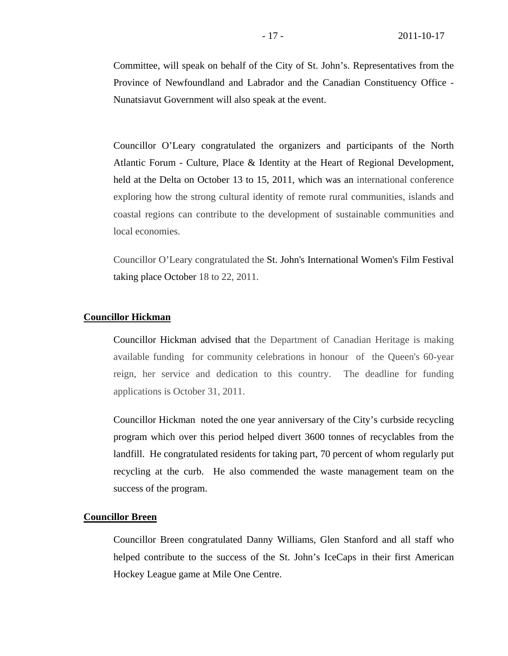Committee, will speak on behalf of the City of St. John's. Representatives from the Province of Newfoundland and Labrador and the Canadian Constituency Office - Nunatsiavut Government will also speak at the event.

Councillor O'Leary congratulated the organizers and participants of the North Atlantic Forum - Culture, Place & Identity at the Heart of Regional Development, held at the Delta on October 13 to 15, 2011, which was an international conference exploring how the strong cultural identity of remote rural communities, islands and coastal regions can contribute to the development of sustainable communities and local economies.

Councillor O'Leary congratulated the St. John's International Women's Film Festival taking place October 18 to 22, 2011.

# **Councillor Hickman**

Councillor Hickman advised that the Department of Canadian Heritage is making available funding for community celebrations in honour of the Queen's 60-year reign, her service and dedication to this country. The deadline for funding applications is October 31, 2011.

Councillor Hickman noted the one year anniversary of the City's curbside recycling program which over this period helped divert 3600 tonnes of recyclables from the landfill. He congratulated residents for taking part, 70 percent of whom regularly put recycling at the curb. He also commended the waste management team on the success of the program.

# **Councillor Breen**

Councillor Breen congratulated Danny Williams, Glen Stanford and all staff who helped contribute to the success of the St. John's IceCaps in their first American Hockey League game at Mile One Centre.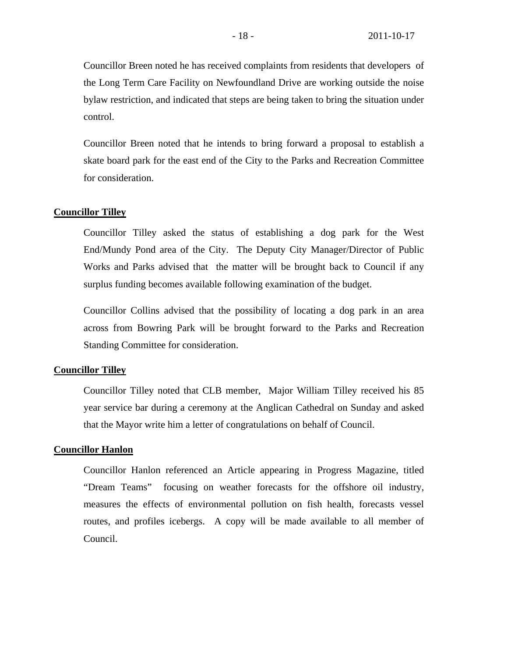Councillor Breen noted he has received complaints from residents that developers of the Long Term Care Facility on Newfoundland Drive are working outside the noise bylaw restriction, and indicated that steps are being taken to bring the situation under control.

Councillor Breen noted that he intends to bring forward a proposal to establish a skate board park for the east end of the City to the Parks and Recreation Committee for consideration.

# **Councillor Tilley**

 Councillor Tilley asked the status of establishing a dog park for the West End/Mundy Pond area of the City. The Deputy City Manager/Director of Public Works and Parks advised that the matter will be brought back to Council if any surplus funding becomes available following examination of the budget.

Councillor Collins advised that the possibility of locating a dog park in an area across from Bowring Park will be brought forward to the Parks and Recreation Standing Committee for consideration.

# **Councillor Tilley**

Councillor Tilley noted that CLB member, Major William Tilley received his 85 year service bar during a ceremony at the Anglican Cathedral on Sunday and asked that the Mayor write him a letter of congratulations on behalf of Council.

# **Councillor Hanlon**

Councillor Hanlon referenced an Article appearing in Progress Magazine, titled "Dream Teams" focusing on weather forecasts for the offshore oil industry, measures the effects of environmental pollution on fish health, forecasts vessel routes, and profiles icebergs. A copy will be made available to all member of Council.